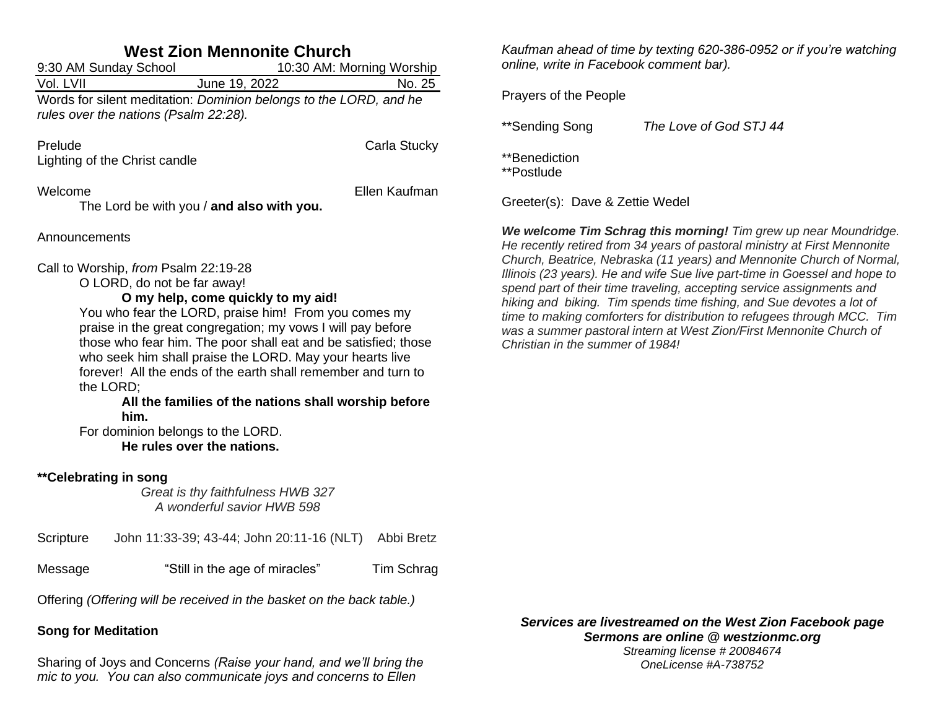| <b>West Zion Mennonite Church</b>                                                                                                                                                                                                                                                                                                                                                                                                                                                                                                                                               |                                                                                                            |               |  |  |  |
|---------------------------------------------------------------------------------------------------------------------------------------------------------------------------------------------------------------------------------------------------------------------------------------------------------------------------------------------------------------------------------------------------------------------------------------------------------------------------------------------------------------------------------------------------------------------------------|------------------------------------------------------------------------------------------------------------|---------------|--|--|--|
| 9:30 AM Sunday School<br>10:30 AM: Morning Worship                                                                                                                                                                                                                                                                                                                                                                                                                                                                                                                              |                                                                                                            |               |  |  |  |
| Vol. LVII                                                                                                                                                                                                                                                                                                                                                                                                                                                                                                                                                                       | June 19, 2022                                                                                              | No. 25        |  |  |  |
|                                                                                                                                                                                                                                                                                                                                                                                                                                                                                                                                                                                 | Words for silent meditation: Dominion belongs to the LORD, and he<br>rules over the nations (Psalm 22:28). |               |  |  |  |
| Prelude                                                                                                                                                                                                                                                                                                                                                                                                                                                                                                                                                                         | Lighting of the Christ candle                                                                              | Carla Stucky  |  |  |  |
| Welcome                                                                                                                                                                                                                                                                                                                                                                                                                                                                                                                                                                         | The Lord be with you / and also with you.                                                                  | Ellen Kaufman |  |  |  |
| Announcements                                                                                                                                                                                                                                                                                                                                                                                                                                                                                                                                                                   |                                                                                                            |               |  |  |  |
| Call to Worship, from Psalm 22:19-28<br>O LORD, do not be far away!<br>O my help, come quickly to my aid!<br>You who fear the LORD, praise him! From you comes my<br>praise in the great congregation; my vows I will pay before<br>those who fear him. The poor shall eat and be satisfied; those<br>who seek him shall praise the LORD. May your hearts live<br>forever! All the ends of the earth shall remember and turn to<br>the LORD;<br>All the families of the nations shall worship before<br>him.<br>For dominion belongs to the LORD.<br>He rules over the nations. |                                                                                                            |               |  |  |  |
| **Celebrating in song                                                                                                                                                                                                                                                                                                                                                                                                                                                                                                                                                           | Great is thy faithfulness HWB 327<br>A wonderful savior HWB 598                                            |               |  |  |  |
| Scripture                                                                                                                                                                                                                                                                                                                                                                                                                                                                                                                                                                       | John 11:33-39; 43-44; John 20:11-16 (NLT) Abbi Bretz                                                       |               |  |  |  |
| Message                                                                                                                                                                                                                                                                                                                                                                                                                                                                                                                                                                         | "Still in the age of miracles"                                                                             | Tim Schrag    |  |  |  |
| Offering (Offering will be received in the basket on the back table.)                                                                                                                                                                                                                                                                                                                                                                                                                                                                                                           |                                                                                                            |               |  |  |  |
|                                                                                                                                                                                                                                                                                                                                                                                                                                                                                                                                                                                 |                                                                                                            |               |  |  |  |

## **Song for Meditation**

Sharing of Joys and Concerns *(Raise your hand, and we'll bring the mic to you. You can also communicate joys and concerns to Ellen* 

*Kaufman ahead of time by texting 620-386-0952 or if you're watching online, write in Facebook comment bar).*

Prayers of the People

\*\*Sending Song *The Love of God STJ 44*

\*\*Benediction

\*\*Postlude

Greeter(s): Dave & Zettie Wedel

*We welcome Tim Schrag this morning! Tim grew up near Moundridge. He recently retired from 34 years of pastoral ministry at First Mennonite Church, Beatrice, Nebraska (11 years) and Mennonite Church of Normal, Illinois (23 years). He and wife Sue live part-time in Goessel and hope to spend part of their time traveling, accepting service assignments and hiking and biking. Tim spends time fishing, and Sue devotes a lot of time to making comforters for distribution to refugees through MCC. Tim was a summer pastoral intern at West Zion/First Mennonite Church of Christian in the summer of 1984!*

*Services are livestreamed on the West Zion Facebook page Sermons are online @ westzionmc.org Streaming license # 20084674*

*OneLicense #A-738752*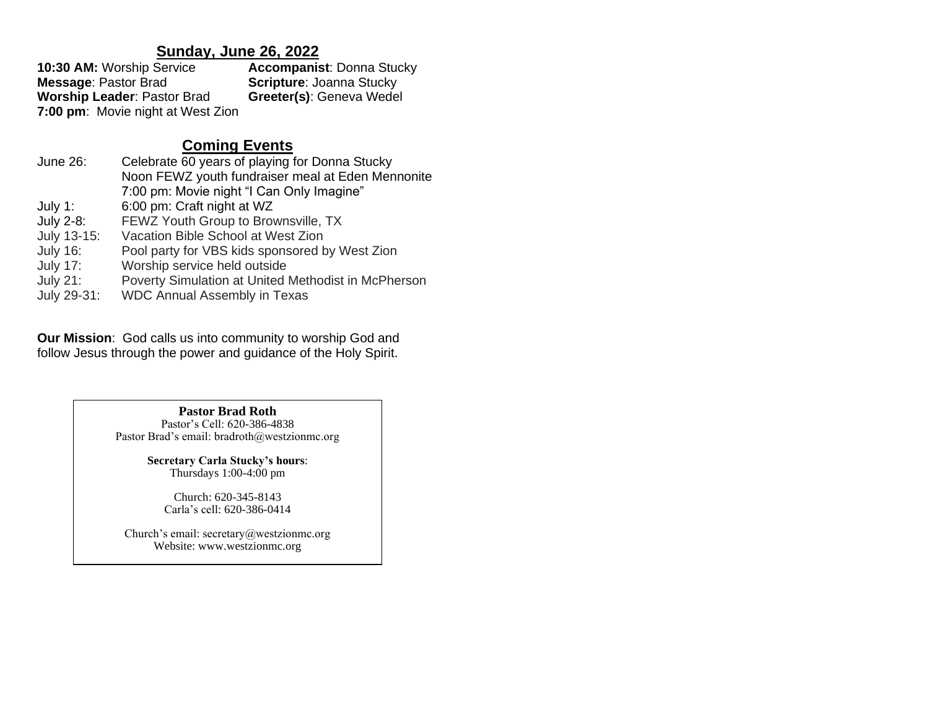# **Sunday, June 26, 2022**

| 10:30 AM: Worship Service          | <b>Accompanist: Donna Stucky</b> |
|------------------------------------|----------------------------------|
| <b>Message: Pastor Brad</b>        | <b>Scripture: Joanna Stucky</b>  |
| <b>Worship Leader: Pastor Brad</b> | Greeter(s): Geneva Wedel         |
| 7:00 pm: Movie night at West Zion  |                                  |

# **Coming Events**

| June 26:        | Celebrate 60 years of playing for Donna Stucky      |  |
|-----------------|-----------------------------------------------------|--|
|                 | Noon FEWZ youth fundraiser meal at Eden Mennonite   |  |
|                 | 7:00 pm: Movie night "I Can Only Imagine"           |  |
| July 1:         | 6:00 pm: Craft night at WZ                          |  |
| July 2-8:       | FEWZ Youth Group to Brownsville, TX                 |  |
| July 13-15:     | Vacation Bible School at West Zion                  |  |
| <b>July 16:</b> | Pool party for VBS kids sponsored by West Zion      |  |
| <b>July 17:</b> | Worship service held outside                        |  |
| <b>July 21:</b> | Poverty Simulation at United Methodist in McPherson |  |
| July 29-31:     | <b>WDC Annual Assembly in Texas</b>                 |  |

**Our Mission**: God calls us into community to worship God and follow Jesus through the power and guidance of the Holy Spirit.

> **Pastor Brad Roth** Pastor's Cell: 620-386-4838 Pastor Brad's email: bradroth@westzionmc.org

> > **Secretary Carla Stucky's hours**: Thursdays 1:00-4:00 pm

> > > Church: 620-345-8143 Carla's cell: 620-386-0414

Church's email: secretary@westzionmc.org Website: www.westzionmc.org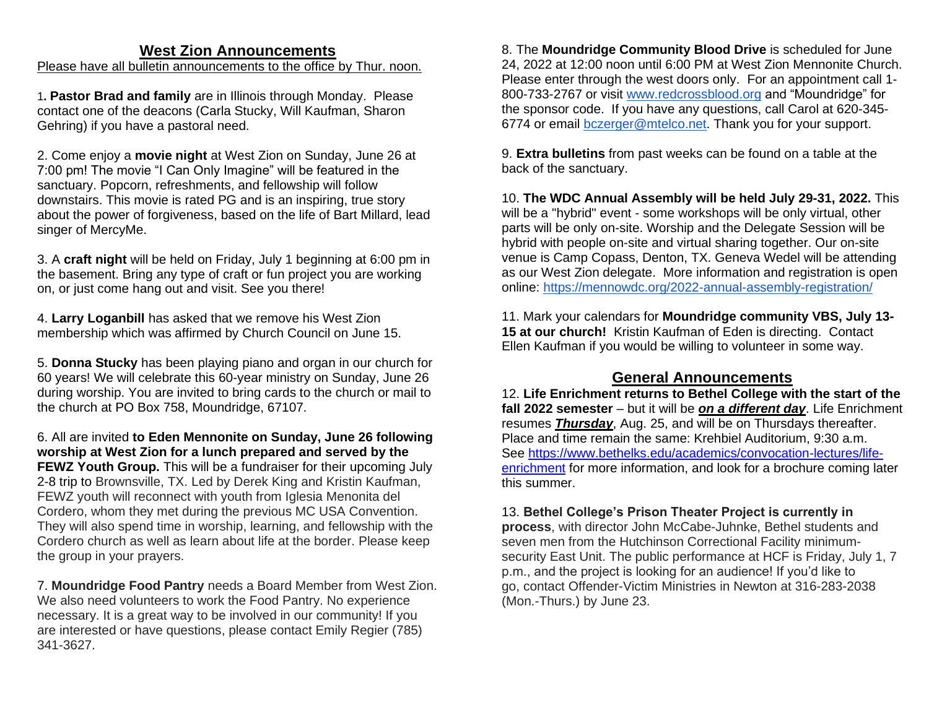## **West Zion Announcements**

Please have all bulletin announcements to the office by Thur. noon.

1**. Pastor Brad and family** are in Illinois through Monday. Please contact one of the deacons (Carla Stucky, Will Kaufman, Sharon Gehring) if you have a pastoral need.

2. Come enjoy a **movie night** at West Zion on Sunday, June 26 at 7:00 pm! The movie "I Can Only Imagine" will be featured in the sanctuary. Popcorn, refreshments, and fellowship will follow downstairs. This movie is rated PG and is an inspiring, true story about the power of forgiveness, based on the life of Bart Millard, lead singer of MercyMe.

3. A **craft night** will be held on Friday, July 1 beginning at 6:00 pm in the basement. Bring any type of craft or fun project you are working on, or just come hang out and visit. See you there!

4. **Larry Loganbill** has asked that we remove his West Zion membership which was affirmed by Church Council on June 15.

5. **Donna Stucky** has been playing piano and organ in our church for 60 years! We will celebrate this 60-year ministry on Sunday, June 26 during worship. You are invited to bring cards to the church or mail to the church at PO Box 758, Moundridge, 67107.

6. All are invited **to Eden Mennonite on Sunday, June 26 following worship at West Zion for a lunch prepared and served by the FEWZ Youth Group.** This will be a fundraiser for their upcoming July 2-8 trip to Brownsville, TX. Led by Derek King and Kristin Kaufman, FEWZ youth will reconnect with youth from Iglesia Menonita del Cordero, whom they met during the previous MC USA Convention. They will also spend time in worship, learning, and fellowship with the Cordero church as well as learn about life at the border. Please keep the group in your prayers.

7. **Moundridge Food Pantry** needs a Board Member from West Zion. We also need volunteers to work the Food Pantry. No experience necessary. It is a great way to be involved in our community! If you are interested or have questions, please contact Emily Regier (785) 341-3627.

8. The **Moundridge Community Blood Drive** is scheduled for June 24, 2022 at 12:00 noon until 6:00 PM at West Zion Mennonite Church. Please enter through the west doors only. For an appointment call 1- 800-733-2767 or visit [www.redcrossblood.org](http://www.redcrossblood.org/) and "Moundridge" for the sponsor code. If you have any questions, call Carol at 620-345- 6774 or email [bczerger@mtelco.net.](mailto:bczerger@mtelco.net) Thank you for your support.

9. **Extra bulletins** from past weeks can be found on a table at the back of the sanctuary.

10. **The WDC Annual Assembly will be held July 29-31, 2022.** This will be a "hybrid" event - some workshops will be only virtual, other parts will be only on-site. Worship and the Delegate Session will be hybrid with people on-site and virtual sharing together. Our on-site venue is Camp Copass, Denton, TX. Geneva Wedel will be attending as our West Zion delegate. More information and registration is open online:<https://mennowdc.org/2022-annual-assembly-registration/>

11. Mark your calendars for **Moundridge community VBS, July 13- 15 at our church!** Kristin Kaufman of Eden is directing. Contact Ellen Kaufman if you would be willing to volunteer in some way.

## **General Announcements**

12. **Life Enrichment returns to Bethel College with the start of the fall 2022 semester** – but it will be *on a different day*. Life Enrichment resumes *Thursday*, Aug. 25, and will be on Thursdays thereafter. Place and time remain the same: Krehbiel Auditorium, 9:30 a.m. See [https://www.bethelks.edu/academics/convocation-lectures/life](https://www.bethelks.edu/academics/convocation-lectures/life-enrichment)[enrichment](https://www.bethelks.edu/academics/convocation-lectures/life-enrichment) for more information, and look for a brochure coming later this summer.

## 13. **Bethel College's Prison Theater Project is currently in**

**process**, with director John McCabe-Juhnke, Bethel students and seven men from the Hutchinson Correctional Facility minimumsecurity East Unit. The public performance at HCF is Friday, July 1, 7 p.m., and the project is looking for an audience! If you'd like to go, contact Offender-Victim Ministries in Newton at 316-283-2038 (Mon.-Thurs.) by June 23.